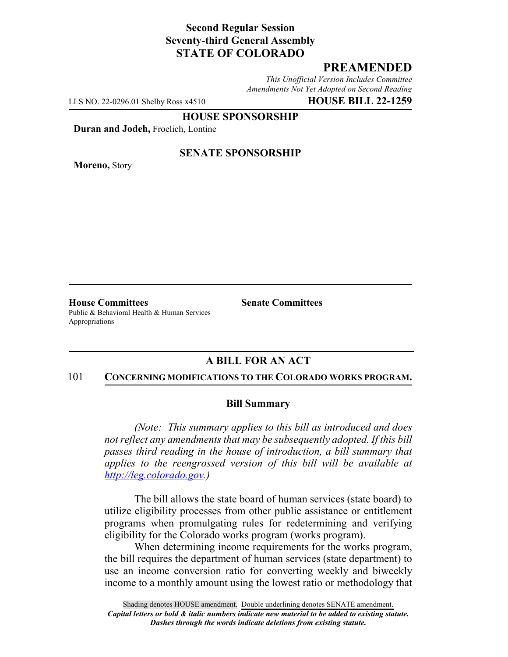## **Second Regular Session Seventy-third General Assembly STATE OF COLORADO**

# **PREAMENDED**

*This Unofficial Version Includes Committee Amendments Not Yet Adopted on Second Reading*

LLS NO. 22-0296.01 Shelby Ross x4510 **HOUSE BILL 22-1259**

**HOUSE SPONSORSHIP**

**Duran and Jodeh,** Froelich, Lontine

**Moreno,** Story

### **SENATE SPONSORSHIP**

**House Committees Senate Committees** Public & Behavioral Health & Human Services Appropriations

## **A BILL FOR AN ACT**

#### 101 **CONCERNING MODIFICATIONS TO THE COLORADO WORKS PROGRAM.**

#### **Bill Summary**

*(Note: This summary applies to this bill as introduced and does not reflect any amendments that may be subsequently adopted. If this bill passes third reading in the house of introduction, a bill summary that applies to the reengrossed version of this bill will be available at http://leg.colorado.gov.)*

The bill allows the state board of human services (state board) to utilize eligibility processes from other public assistance or entitlement programs when promulgating rules for redetermining and verifying eligibility for the Colorado works program (works program).

When determining income requirements for the works program, the bill requires the department of human services (state department) to use an income conversion ratio for converting weekly and biweekly income to a monthly amount using the lowest ratio or methodology that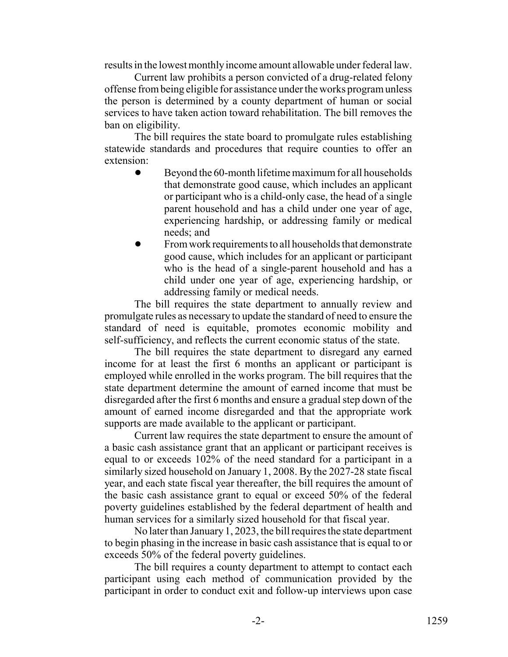results in the lowest monthly income amount allowable under federal law.

Current law prohibits a person convicted of a drug-related felony offense from being eligible for assistance under the works program unless the person is determined by a county department of human or social services to have taken action toward rehabilitation. The bill removes the ban on eligibility.

The bill requires the state board to promulgate rules establishing statewide standards and procedures that require counties to offer an extension:

- Beyond the 60-month lifetime maximum for all households that demonstrate good cause, which includes an applicant or participant who is a child-only case, the head of a single parent household and has a child under one year of age, experiencing hardship, or addressing family or medical needs; and
- ! From work requirements to all households that demonstrate good cause, which includes for an applicant or participant who is the head of a single-parent household and has a child under one year of age, experiencing hardship, or addressing family or medical needs.

The bill requires the state department to annually review and promulgate rules as necessary to update the standard of need to ensure the standard of need is equitable, promotes economic mobility and self-sufficiency, and reflects the current economic status of the state.

The bill requires the state department to disregard any earned income for at least the first 6 months an applicant or participant is employed while enrolled in the works program. The bill requires that the state department determine the amount of earned income that must be disregarded after the first 6 months and ensure a gradual step down of the amount of earned income disregarded and that the appropriate work supports are made available to the applicant or participant.

Current law requires the state department to ensure the amount of a basic cash assistance grant that an applicant or participant receives is equal to or exceeds 102% of the need standard for a participant in a similarly sized household on January 1, 2008. By the 2027-28 state fiscal year, and each state fiscal year thereafter, the bill requires the amount of the basic cash assistance grant to equal or exceed 50% of the federal poverty guidelines established by the federal department of health and human services for a similarly sized household for that fiscal year.

No later than January 1, 2023, the bill requires the state department to begin phasing in the increase in basic cash assistance that is equal to or exceeds 50% of the federal poverty guidelines.

The bill requires a county department to attempt to contact each participant using each method of communication provided by the participant in order to conduct exit and follow-up interviews upon case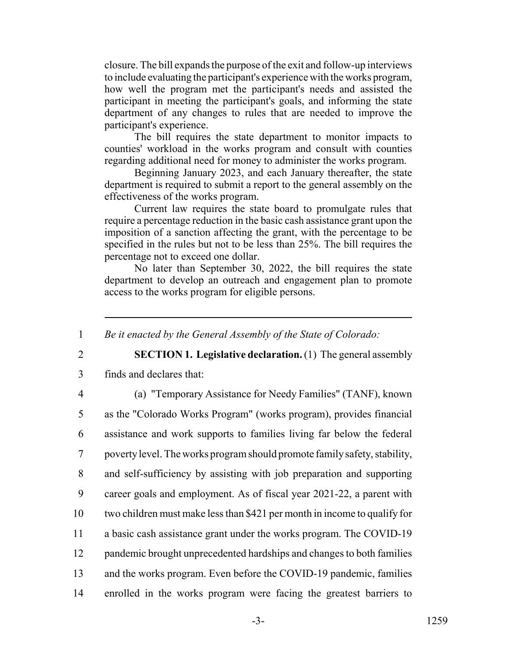closure. The bill expands the purpose of the exit and follow-up interviews to include evaluating the participant's experience with the works program, how well the program met the participant's needs and assisted the participant in meeting the participant's goals, and informing the state department of any changes to rules that are needed to improve the participant's experience.

The bill requires the state department to monitor impacts to counties' workload in the works program and consult with counties regarding additional need for money to administer the works program.

Beginning January 2023, and each January thereafter, the state department is required to submit a report to the general assembly on the effectiveness of the works program.

Current law requires the state board to promulgate rules that require a percentage reduction in the basic cash assistance grant upon the imposition of a sanction affecting the grant, with the percentage to be specified in the rules but not to be less than 25%. The bill requires the percentage not to exceed one dollar.

No later than September 30, 2022, the bill requires the state department to develop an outreach and engagement plan to promote access to the works program for eligible persons.

1 *Be it enacted by the General Assembly of the State of Colorado:*

2 **SECTION 1. Legislative declaration.** (1) The general assembly

3 finds and declares that:

4 (a) "Temporary Assistance for Needy Families" (TANF), known

 as the "Colorado Works Program" (works program), provides financial assistance and work supports to families living far below the federal poverty level. The works program should promote family safety, stability, and self-sufficiency by assisting with job preparation and supporting career goals and employment. As of fiscal year 2021-22, a parent with two children must make less than \$421 per month in income to qualify for a basic cash assistance grant under the works program. The COVID-19 pandemic brought unprecedented hardships and changes to both families and the works program. Even before the COVID-19 pandemic, families enrolled in the works program were facing the greatest barriers to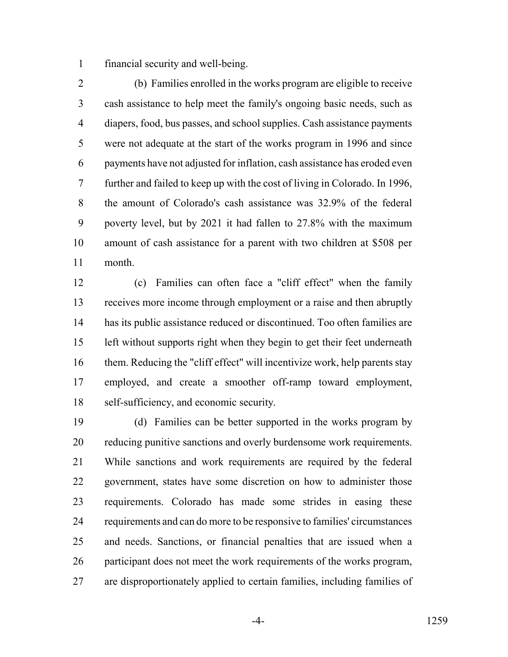financial security and well-being.

 (b) Families enrolled in the works program are eligible to receive cash assistance to help meet the family's ongoing basic needs, such as diapers, food, bus passes, and school supplies. Cash assistance payments were not adequate at the start of the works program in 1996 and since payments have not adjusted for inflation, cash assistance has eroded even further and failed to keep up with the cost of living in Colorado. In 1996, the amount of Colorado's cash assistance was 32.9% of the federal poverty level, but by 2021 it had fallen to 27.8% with the maximum amount of cash assistance for a parent with two children at \$508 per month.

 (c) Families can often face a "cliff effect" when the family receives more income through employment or a raise and then abruptly has its public assistance reduced or discontinued. Too often families are left without supports right when they begin to get their feet underneath them. Reducing the "cliff effect" will incentivize work, help parents stay employed, and create a smoother off-ramp toward employment, self-sufficiency, and economic security.

 (d) Families can be better supported in the works program by reducing punitive sanctions and overly burdensome work requirements. While sanctions and work requirements are required by the federal government, states have some discretion on how to administer those requirements. Colorado has made some strides in easing these requirements and can do more to be responsive to families' circumstances and needs. Sanctions, or financial penalties that are issued when a participant does not meet the work requirements of the works program, are disproportionately applied to certain families, including families of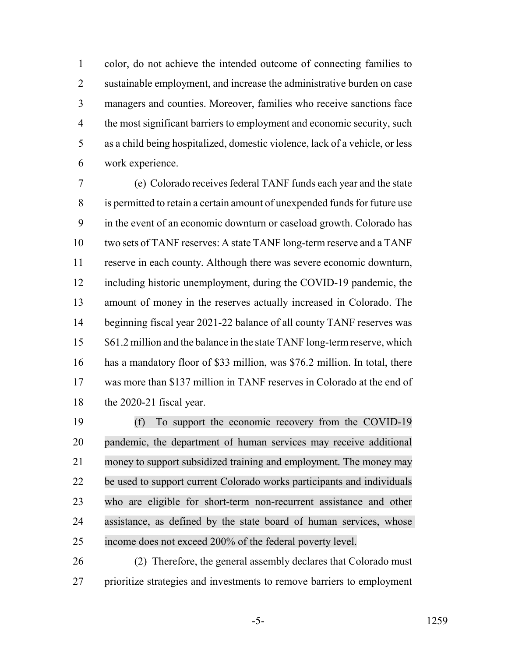color, do not achieve the intended outcome of connecting families to sustainable employment, and increase the administrative burden on case managers and counties. Moreover, families who receive sanctions face 4 the most significant barriers to employment and economic security, such as a child being hospitalized, domestic violence, lack of a vehicle, or less work experience.

 (e) Colorado receives federal TANF funds each year and the state is permitted to retain a certain amount of unexpended funds for future use in the event of an economic downturn or caseload growth. Colorado has two sets of TANF reserves: A state TANF long-term reserve and a TANF reserve in each county. Although there was severe economic downturn, including historic unemployment, during the COVID-19 pandemic, the amount of money in the reserves actually increased in Colorado. The beginning fiscal year 2021-22 balance of all county TANF reserves was 15 \$61.2 million and the balance in the state TANF long-term reserve, which has a mandatory floor of \$33 million, was \$76.2 million. In total, there was more than \$137 million in TANF reserves in Colorado at the end of the 2020-21 fiscal year.

 (f) To support the economic recovery from the COVID-19 pandemic, the department of human services may receive additional money to support subsidized training and employment. The money may be used to support current Colorado works participants and individuals who are eligible for short-term non-recurrent assistance and other assistance, as defined by the state board of human services, whose income does not exceed 200% of the federal poverty level.

 (2) Therefore, the general assembly declares that Colorado must prioritize strategies and investments to remove barriers to employment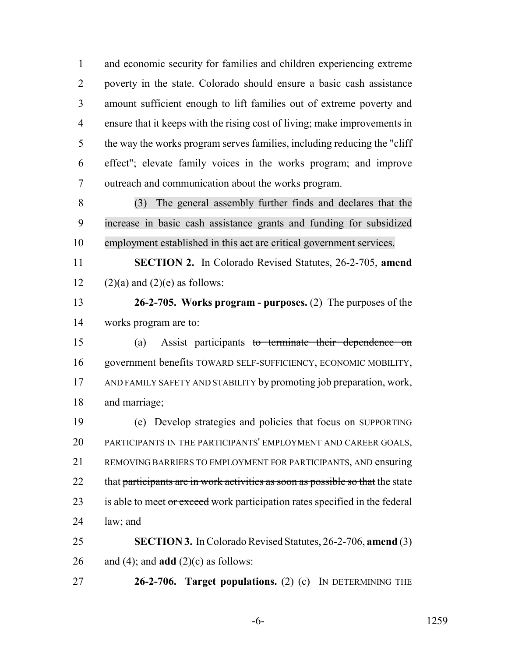and economic security for families and children experiencing extreme poverty in the state. Colorado should ensure a basic cash assistance amount sufficient enough to lift families out of extreme poverty and ensure that it keeps with the rising cost of living; make improvements in the way the works program serves families, including reducing the "cliff effect"; elevate family voices in the works program; and improve outreach and communication about the works program.

 (3) The general assembly further finds and declares that the increase in basic cash assistance grants and funding for subsidized employment established in this act are critical government services.

 **SECTION 2.** In Colorado Revised Statutes, 26-2-705, **amend** 12 (2)(a) and (2)(e) as follows:

 **26-2-705. Works program - purposes.** (2) The purposes of the works program are to:

 (a) Assist participants to terminate their dependence on government benefits TOWARD SELF-SUFFICIENCY, ECONOMIC MOBILITY, AND FAMILY SAFETY AND STABILITY by promoting job preparation, work, and marriage;

 (e) Develop strategies and policies that focus on SUPPORTING PARTICIPANTS IN THE PARTICIPANTS' EMPLOYMENT AND CAREER GOALS, REMOVING BARRIERS TO EMPLOYMENT FOR PARTICIPANTS, AND ensuring 22 that participants are in work activities as soon as possible so that the state 23 is able to meet or exceed work participation rates specified in the federal law; and

 **SECTION 3.** In Colorado Revised Statutes, 26-2-706, **amend** (3) 26 and (4); and **add** (2)(c) as follows:

**26-2-706. Target populations.** (2) (c) IN DETERMINING THE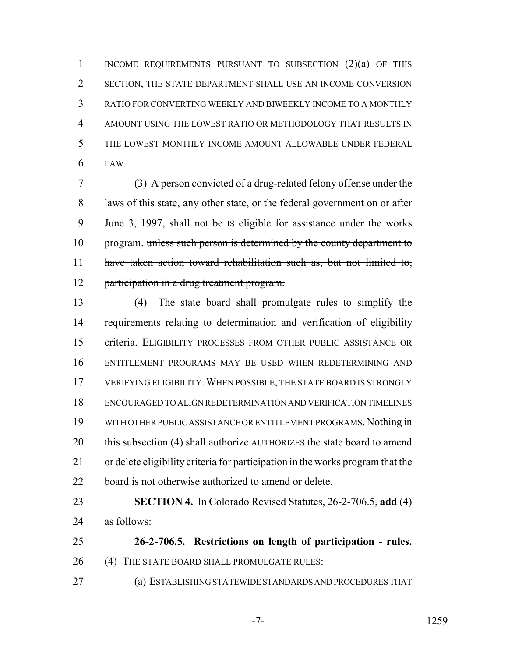INCOME REQUIREMENTS PURSUANT TO SUBSECTION (2)(a) OF THIS SECTION, THE STATE DEPARTMENT SHALL USE AN INCOME CONVERSION RATIO FOR CONVERTING WEEKLY AND BIWEEKLY INCOME TO A MONTHLY AMOUNT USING THE LOWEST RATIO OR METHODOLOGY THAT RESULTS IN THE LOWEST MONTHLY INCOME AMOUNT ALLOWABLE UNDER FEDERAL LAW.

 (3) A person convicted of a drug-related felony offense under the laws of this state, any other state, or the federal government on or after 9 June 3, 1997, shall not be IS eligible for assistance under the works 10 program. unless such person is determined by the county department to have taken action toward rehabilitation such as, but not limited to, 12 participation in a drug treatment program.

 (4) The state board shall promulgate rules to simplify the requirements relating to determination and verification of eligibility criteria. ELIGIBILITY PROCESSES FROM OTHER PUBLIC ASSISTANCE OR ENTITLEMENT PROGRAMS MAY BE USED WHEN REDETERMINING AND VERIFYING ELIGIBILITY.WHEN POSSIBLE, THE STATE BOARD IS STRONGLY ENCOURAGED TO ALIGN REDETERMINATION AND VERIFICATION TIMELINES WITH OTHER PUBLIC ASSISTANCE OR ENTITLEMENT PROGRAMS. Nothing in 20 this subsection (4) shall authorize AUTHORIZES the state board to amend or delete eligibility criteria for participation in the works program that the 22 board is not otherwise authorized to amend or delete.

 **SECTION 4.** In Colorado Revised Statutes, 26-2-706.5, **add** (4) as follows:

 **26-2-706.5. Restrictions on length of participation - rules.** 26 (4) THE STATE BOARD SHALL PROMULGATE RULES:

(a) ESTABLISHING STATEWIDE STANDARDS AND PROCEDURES THAT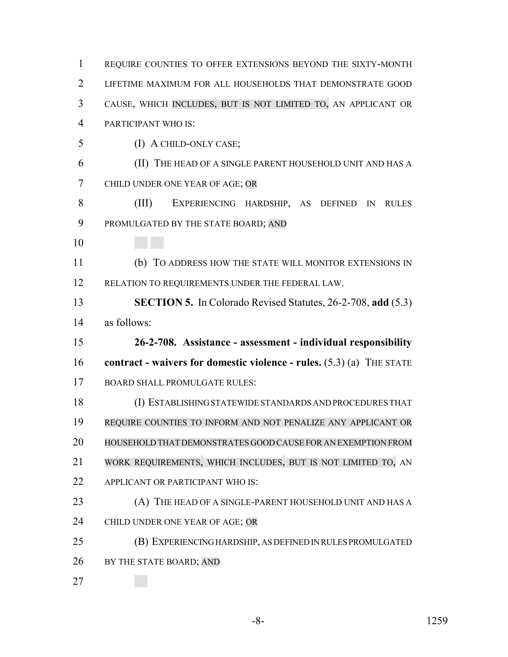REQUIRE COUNTIES TO OFFER EXTENSIONS BEYOND THE SIXTY-MONTH LIFETIME MAXIMUM FOR ALL HOUSEHOLDS THAT DEMONSTRATE GOOD CAUSE, WHICH INCLUDES, BUT IS NOT LIMITED TO, AN APPLICANT OR PARTICIPANT WHO IS: (I) A CHILD-ONLY CASE; (II) THE HEAD OF A SINGLE PARENT HOUSEHOLD UNIT AND HAS A CHILD UNDER ONE YEAR OF AGE; OR (III) EXPERIENCING HARDSHIP, AS DEFINED IN RULES PROMULGATED BY THE STATE BOARD; AND (b) TO ADDRESS HOW THE STATE WILL MONITOR EXTENSIONS IN 12 RELATION TO REQUIREMENTS UNDER THE FEDERAL LAW. **SECTION 5.** In Colorado Revised Statutes, 26-2-708, **add** (5.3) as follows: **26-2-708. Assistance - assessment - individual responsibility contract - waivers for domestic violence - rules.** (5.3) (a) THE STATE BOARD SHALL PROMULGATE RULES: (I) ESTABLISHING STATEWIDE STANDARDS AND PROCEDURES THAT REQUIRE COUNTIES TO INFORM AND NOT PENALIZE ANY APPLICANT OR HOUSEHOLD THAT DEMONSTRATES GOOD CAUSE FOR AN EXEMPTION FROM WORK REQUIREMENTS, WHICH INCLUDES, BUT IS NOT LIMITED TO, AN 22 APPLICANT OR PARTICIPANT WHO IS: 23 (A) THE HEAD OF A SINGLE-PARENT HOUSEHOLD UNIT AND HAS A 24 CHILD UNDER ONE YEAR OF AGE; OR (B) EXPERIENCING HARDSHIP, AS DEFINED IN RULES PROMULGATED 26 BY THE STATE BOARD; AND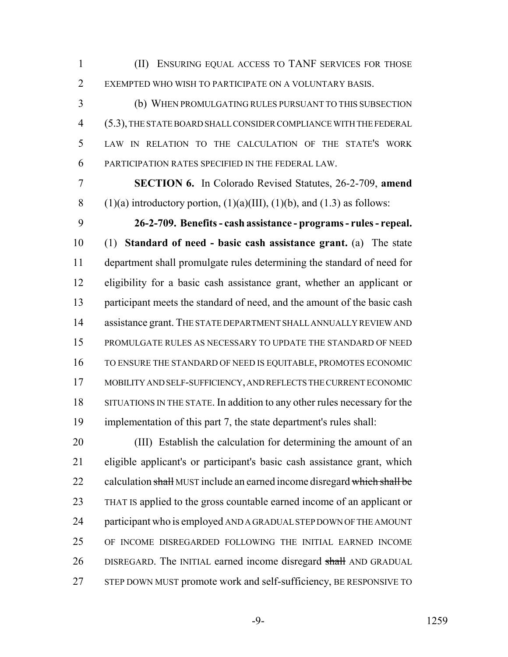(II) ENSURING EQUAL ACCESS TO TANF SERVICES FOR THOSE EXEMPTED WHO WISH TO PARTICIPATE ON A VOLUNTARY BASIS.

 (b) WHEN PROMULGATING RULES PURSUANT TO THIS SUBSECTION (5.3), THE STATE BOARD SHALL CONSIDER COMPLIANCE WITH THE FEDERAL LAW IN RELATION TO THE CALCULATION OF THE STATE'S WORK PARTICIPATION RATES SPECIFIED IN THE FEDERAL LAW.

 **SECTION 6.** In Colorado Revised Statutes, 26-2-709, **amend** 8 (1)(a) introductory portion,  $(1)(a)(III)$ ,  $(1)(b)$ , and  $(1.3)$  as follows:

 **26-2-709. Benefits - cash assistance - programs - rules - repeal.** (1) **Standard of need - basic cash assistance grant.** (a) The state department shall promulgate rules determining the standard of need for eligibility for a basic cash assistance grant, whether an applicant or 13 participant meets the standard of need, and the amount of the basic cash 14 assistance grant. THE STATE DEPARTMENT SHALL ANNUALLY REVIEW AND PROMULGATE RULES AS NECESSARY TO UPDATE THE STANDARD OF NEED TO ENSURE THE STANDARD OF NEED IS EQUITABLE, PROMOTES ECONOMIC MOBILITY AND SELF-SUFFICIENCY, AND REFLECTS THE CURRENT ECONOMIC SITUATIONS IN THE STATE. In addition to any other rules necessary for the implementation of this part 7, the state department's rules shall:

 (III) Establish the calculation for determining the amount of an eligible applicant's or participant's basic cash assistance grant, which 22 calculation shall MUST include an earned income disregard which shall be THAT IS applied to the gross countable earned income of an applicant or participant who is employed AND A GRADUAL STEP DOWN OF THE AMOUNT OF INCOME DISREGARDED FOLLOWING THE INITIAL EARNED INCOME 26 DISREGARD. The INITIAL earned income disregard shall AND GRADUAL STEP DOWN MUST promote work and self-sufficiency, BE RESPONSIVE TO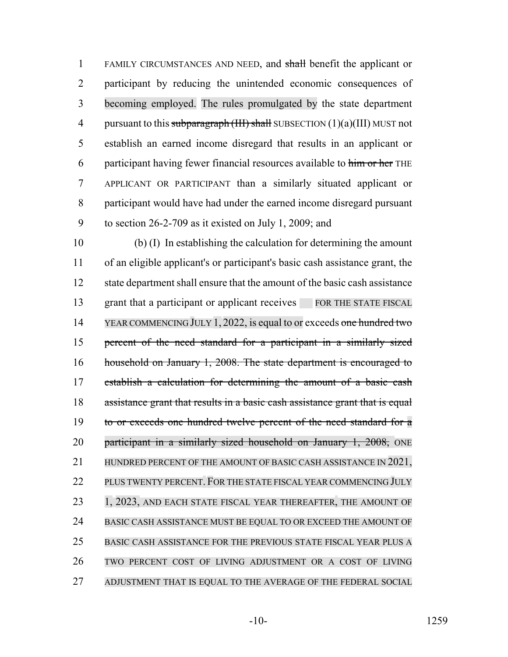FAMILY CIRCUMSTANCES AND NEED, and shall benefit the applicant or participant by reducing the unintended economic consequences of becoming employed. The rules promulgated by the state department 4 pursuant to this subparagraph  $(HH)$  shall SUBSECTION  $(1)(a)(III)$  MUST not establish an earned income disregard that results in an applicant or 6 participant having fewer financial resources available to him or her THE APPLICANT OR PARTICIPANT than a similarly situated applicant or participant would have had under the earned income disregard pursuant to section 26-2-709 as it existed on July 1, 2009; and

 (b) (I) In establishing the calculation for determining the amount of an eligible applicant's or participant's basic cash assistance grant, the state department shall ensure that the amount of the basic cash assistance 13 grant that a participant or applicant receives FOR THE STATE FISCAL 14 YEAR COMMENCING JULY 1, 2022, is equal to or exceeds one hundred two percent of the need standard for a participant in a similarly sized household on January 1, 2008. The state department is encouraged to 17 establish a calculation for determining the amount of a basic cash assistance grant that results in a basic cash assistance grant that is equal 19 to or exceeds one hundred twelve percent of the need standard for a 20 participant in a similarly sized household on January 1, 2008, ONE 21 HUNDRED PERCENT OF THE AMOUNT OF BASIC CASH ASSISTANCE IN 2021, PLUS TWENTY PERCENT. FOR THE STATE FISCAL YEAR COMMENCING JULY 23 1, 2023, AND EACH STATE FISCAL YEAR THEREAFTER, THE AMOUNT OF BASIC CASH ASSISTANCE MUST BE EQUAL TO OR EXCEED THE AMOUNT OF BASIC CASH ASSISTANCE FOR THE PREVIOUS STATE FISCAL YEAR PLUS A TWO PERCENT COST OF LIVING ADJUSTMENT OR A COST OF LIVING ADJUSTMENT THAT IS EQUAL TO THE AVERAGE OF THE FEDERAL SOCIAL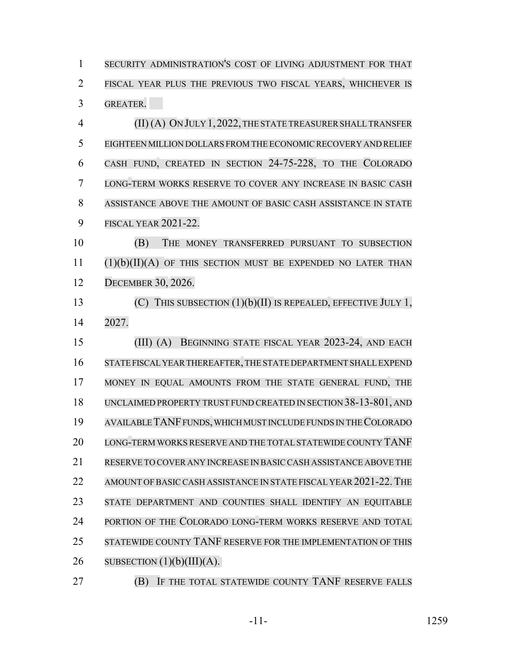SECURITY ADMINISTRATION'S COST OF LIVING ADJUSTMENT FOR THAT FISCAL YEAR PLUS THE PREVIOUS TWO FISCAL YEARS, WHICHEVER IS GREATER.

 (II) (A) ON JULY 1,2022,THE STATE TREASURERSHALLTRANSFER EIGHTEEN MILLION DOLLARS FROM THE ECONOMICRECOVERY AND RELIEF CASH FUND, CREATED IN SECTION 24-75-228, TO THE COLORADO LONG-TERM WORKS RESERVE TO COVER ANY INCREASE IN BASIC CASH ASSISTANCE ABOVE THE AMOUNT OF BASIC CASH ASSISTANCE IN STATE FISCAL YEAR 2021-22.

 (B) THE MONEY TRANSFERRED PURSUANT TO SUBSECTION  $(1)(b)(II)(A)$  of this section must be expended no later than DECEMBER 30, 2026.

 (C) THIS SUBSECTION (1)(b)(II) IS REPEALED, EFFECTIVE JULY 1, 2027.

 (III) (A) BEGINNING STATE FISCAL YEAR 2023-24, AND EACH STATE FISCAL YEAR THEREAFTER,THE STATE DEPARTMENT SHALLEXPEND MONEY IN EQUAL AMOUNTS FROM THE STATE GENERAL FUND, THE UNCLAIMED PROPERTY TRUST FUND CREATED IN SECTION 38-13-801, AND AVAILABLE TANF FUNDS, WHICH MUST INCLUDE FUNDS IN THE COLORADO LONG-TERM WORKS RESERVE AND THE TOTALSTATEWIDE COUNTY TANF RESERVE TO COVER ANY INCREASE IN BASICCASH ASSISTANCE ABOVE THE 22 AMOUNT OF BASIC CASH ASSISTANCE IN STATE FISCAL YEAR 2021-22. THE STATE DEPARTMENT AND COUNTIES SHALL IDENTIFY AN EQUITABLE 24 PORTION OF THE COLORADO LONG-TERM WORKS RESERVE AND TOTAL STATEWIDE COUNTY TANF RESERVE FOR THE IMPLEMENTATION OF THIS 26 SUBSECTION  $(1)(b)(III)(A)$ .

(B) IF THE TOTAL STATEWIDE COUNTY TANF RESERVE FALLS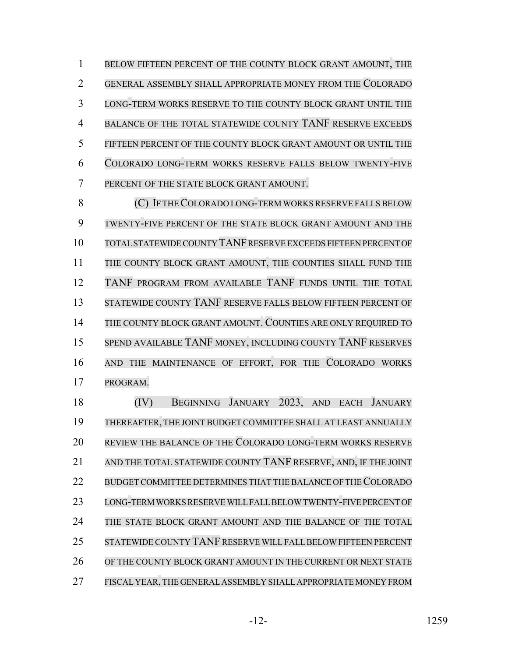1 BELOW FIFTEEN PERCENT OF THE COUNTY BLOCK GRANT AMOUNT, THE GENERAL ASSEMBLY SHALL APPROPRIATE MONEY FROM THE COLORADO LONG-TERM WORKS RESERVE TO THE COUNTY BLOCK GRANT UNTIL THE BALANCE OF THE TOTAL STATEWIDE COUNTY TANF RESERVE EXCEEDS FIFTEEN PERCENT OF THE COUNTY BLOCK GRANT AMOUNT OR UNTIL THE COLORADO LONG-TERM WORKS RESERVE FALLS BELOW TWENTY-FIVE PERCENT OF THE STATE BLOCK GRANT AMOUNT.

8 (C) IF THE COLORADO LONG-TERM WORKS RESERVE FALLS BELOW TWENTY-FIVE PERCENT OF THE STATE BLOCK GRANT AMOUNT AND THE TOTAL STATEWIDE COUNTY TANF RESERVE EXCEEDS FIFTEEN PERCENT OF THE COUNTY BLOCK GRANT AMOUNT, THE COUNTIES SHALL FUND THE TANF PROGRAM FROM AVAILABLE TANF FUNDS UNTIL THE TOTAL STATEWIDE COUNTY TANF RESERVE FALLS BELOW FIFTEEN PERCENT OF THE COUNTY BLOCK GRANT AMOUNT. COUNTIES ARE ONLY REQUIRED TO SPEND AVAILABLE TANF MONEY, INCLUDING COUNTY TANF RESERVES AND THE MAINTENANCE OF EFFORT, FOR THE COLORADO WORKS PROGRAM.

 (IV) BEGINNING JANUARY 2023, AND EACH JANUARY THEREAFTER, THE JOINT BUDGET COMMITTEE SHALL AT LEAST ANNUALLY REVIEW THE BALANCE OF THE COLORADO LONG-TERM WORKS RESERVE AND THE TOTAL STATEWIDE COUNTY TANF RESERVE, AND, IF THE JOINT 22 BUDGET COMMITTEE DETERMINES THAT THE BALANCE OF THE COLORADO LONG-TERM WORKS RESERVE WILL FALL BELOW TWENTY-FIVE PERCENT OF 24 THE STATE BLOCK GRANT AMOUNT AND THE BALANCE OF THE TOTAL STATEWIDE COUNTY TANF RESERVE WILL FALLBELOW FIFTEEN PERCENT OF THE COUNTY BLOCK GRANT AMOUNT IN THE CURRENT OR NEXT STATE FISCALYEAR,THE GENERALASSEMBLY SHALLAPPROPRIATE MONEY FROM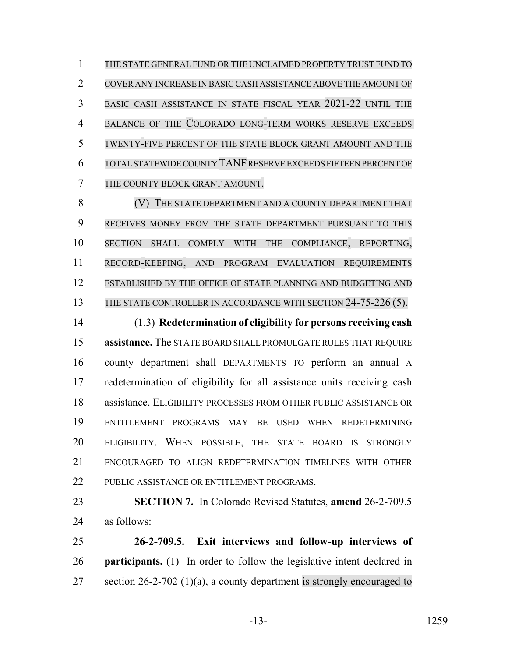THE STATE GENERAL FUND OR THE UNCLAIMED PROPERTY TRUST FUND TO COVER ANY INCREASE IN BASIC CASH ASSISTANCE ABOVE THE AMOUNT OF BASIC CASH ASSISTANCE IN STATE FISCAL YEAR 2021-22 UNTIL THE BALANCE OF THE COLORADO LONG-TERM WORKS RESERVE EXCEEDS TWENTY-FIVE PERCENT OF THE STATE BLOCK GRANT AMOUNT AND THE TOTAL STATEWIDE COUNTY TANF RESERVE EXCEEDS FIFTEEN PERCENT OF THE COUNTY BLOCK GRANT AMOUNT.

8 (V) THE STATE DEPARTMENT AND A COUNTY DEPARTMENT THAT RECEIVES MONEY FROM THE STATE DEPARTMENT PURSUANT TO THIS SECTION SHALL COMPLY WITH THE COMPLIANCE, REPORTING, RECORD-KEEPING, AND PROGRAM EVALUATION REQUIREMENTS ESTABLISHED BY THE OFFICE OF STATE PLANNING AND BUDGETING AND 13 THE STATE CONTROLLER IN ACCORDANCE WITH SECTION 24-75-226 (5).

 (1.3) **Redetermination of eligibility for persons receiving cash assistance.** The STATE BOARD SHALL PROMULGATE RULES THAT REQUIRE 16 county department shall DEPARTMENTS TO perform an annual A redetermination of eligibility for all assistance units receiving cash assistance. ELIGIBILITY PROCESSES FROM OTHER PUBLIC ASSISTANCE OR ENTITLEMENT PROGRAMS MAY BE USED WHEN REDETERMINING ELIGIBILITY. WHEN POSSIBLE, THE STATE BOARD IS STRONGLY ENCOURAGED TO ALIGN REDETERMINATION TIMELINES WITH OTHER 22 PUBLIC ASSISTANCE OR ENTITLEMENT PROGRAMS.

 **SECTION 7.** In Colorado Revised Statutes, **amend** 26-2-709.5 as follows:

 **26-2-709.5. Exit interviews and follow-up interviews of participants.** (1) In order to follow the legislative intent declared in 27 section 26-2-702 (1)(a), a county department is strongly encouraged to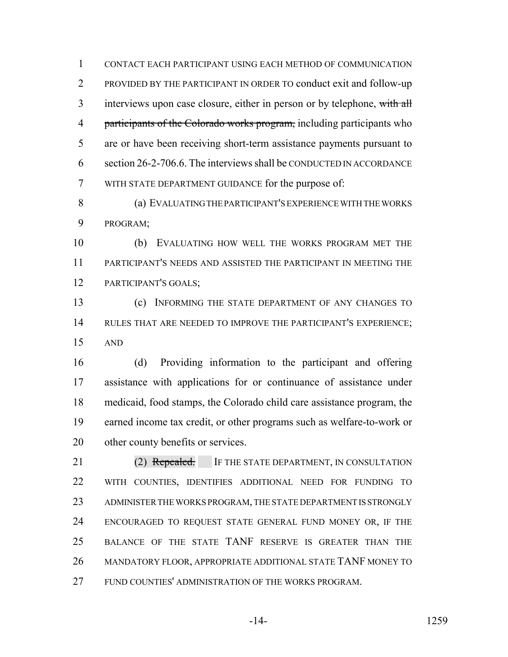CONTACT EACH PARTICIPANT USING EACH METHOD OF COMMUNICATION PROVIDED BY THE PARTICIPANT IN ORDER TO conduct exit and follow-up 3 interviews upon case closure, either in person or by telephone, with all 4 participants of the Colorado works program, including participants who are or have been receiving short-term assistance payments pursuant to section 26-2-706.6. The interviews shall be CONDUCTED IN ACCORDANCE WITH STATE DEPARTMENT GUIDANCE for the purpose of:

 (a) EVALUATING THE PARTICIPANT'S EXPERIENCE WITH THE WORKS PROGRAM;

 (b) EVALUATING HOW WELL THE WORKS PROGRAM MET THE PARTICIPANT'S NEEDS AND ASSISTED THE PARTICIPANT IN MEETING THE PARTICIPANT'S GOALS;

 (c) INFORMING THE STATE DEPARTMENT OF ANY CHANGES TO RULES THAT ARE NEEDED TO IMPROVE THE PARTICIPANT'S EXPERIENCE; AND

 (d) Providing information to the participant and offering assistance with applications for or continuance of assistance under medicaid, food stamps, the Colorado child care assistance program, the earned income tax credit, or other programs such as welfare-to-work or other county benefits or services.

21 (2) Repealed. IF THE STATE DEPARTMENT, IN CONSULTATION WITH COUNTIES, IDENTIFIES ADDITIONAL NEED FOR FUNDING TO ADMINISTER THE WORKS PROGRAM, THE STATE DEPARTMENT IS STRONGLY ENCOURAGED TO REQUEST STATE GENERAL FUND MONEY OR, IF THE BALANCE OF THE STATE TANF RESERVE IS GREATER THAN THE 26 MANDATORY FLOOR, APPROPRIATE ADDITIONAL STATE TANF MONEY TO FUND COUNTIES' ADMINISTRATION OF THE WORKS PROGRAM.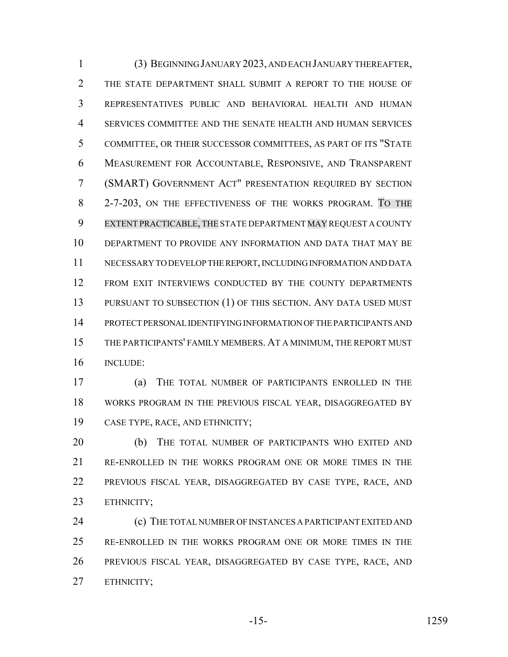(3) BEGINNING JANUARY 2023, AND EACH JANUARY THEREAFTER, THE STATE DEPARTMENT SHALL SUBMIT A REPORT TO THE HOUSE OF REPRESENTATIVES PUBLIC AND BEHAVIORAL HEALTH AND HUMAN SERVICES COMMITTEE AND THE SENATE HEALTH AND HUMAN SERVICES COMMITTEE, OR THEIR SUCCESSOR COMMITTEES, AS PART OF ITS "STATE MEASUREMENT FOR ACCOUNTABLE, RESPONSIVE, AND TRANSPARENT (SMART) GOVERNMENT ACT" PRESENTATION REQUIRED BY SECTION 2-7-203, ON THE EFFECTIVENESS OF THE WORKS PROGRAM. TO THE EXTENT PRACTICABLE, THE STATE DEPARTMENT MAY REQUEST A COUNTY DEPARTMENT TO PROVIDE ANY INFORMATION AND DATA THAT MAY BE NECESSARY TO DEVELOP THE REPORT, INCLUDING INFORMATION AND DATA FROM EXIT INTERVIEWS CONDUCTED BY THE COUNTY DEPARTMENTS 13 PURSUANT TO SUBSECTION (1) OF THIS SECTION. ANY DATA USED MUST PROTECT PERSONAL IDENTIFYING INFORMATION OF THE PARTICIPANTS AND THE PARTICIPANTS' FAMILY MEMBERS. AT A MINIMUM, THE REPORT MUST INCLUDE:

 (a) THE TOTAL NUMBER OF PARTICIPANTS ENROLLED IN THE WORKS PROGRAM IN THE PREVIOUS FISCAL YEAR, DISAGGREGATED BY CASE TYPE, RACE, AND ETHNICITY;

 (b) THE TOTAL NUMBER OF PARTICIPANTS WHO EXITED AND RE-ENROLLED IN THE WORKS PROGRAM ONE OR MORE TIMES IN THE PREVIOUS FISCAL YEAR, DISAGGREGATED BY CASE TYPE, RACE, AND ETHNICITY;

**(c)** THE TOTAL NUMBER OF INSTANCES A PARTICIPANT EXITED AND RE-ENROLLED IN THE WORKS PROGRAM ONE OR MORE TIMES IN THE PREVIOUS FISCAL YEAR, DISAGGREGATED BY CASE TYPE, RACE, AND ETHNICITY;

-15- 1259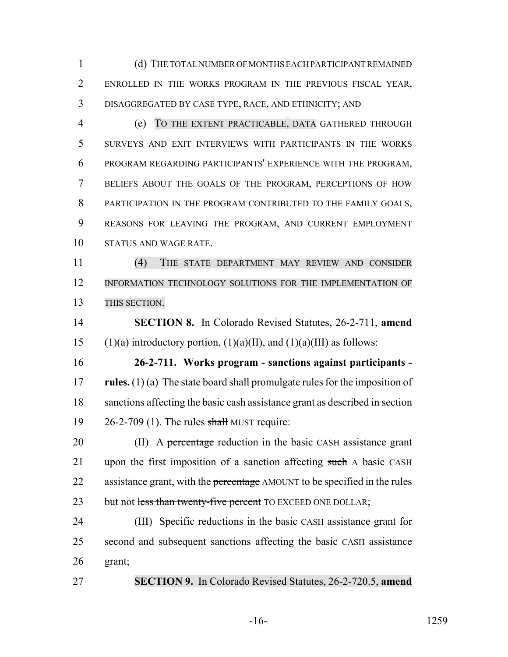(d) THE TOTAL NUMBER OF MONTHS EACH PARTICIPANT REMAINED ENROLLED IN THE WORKS PROGRAM IN THE PREVIOUS FISCAL YEAR, DISAGGREGATED BY CASE TYPE, RACE, AND ETHNICITY; AND

 (e) TO THE EXTENT PRACTICABLE, DATA GATHERED THROUGH SURVEYS AND EXIT INTERVIEWS WITH PARTICIPANTS IN THE WORKS PROGRAM REGARDING PARTICIPANTS' EXPERIENCE WITH THE PROGRAM, BELIEFS ABOUT THE GOALS OF THE PROGRAM, PERCEPTIONS OF HOW PARTICIPATION IN THE PROGRAM CONTRIBUTED TO THE FAMILY GOALS, REASONS FOR LEAVING THE PROGRAM, AND CURRENT EMPLOYMENT STATUS AND WAGE RATE.

 (4) THE STATE DEPARTMENT MAY REVIEW AND CONSIDER INFORMATION TECHNOLOGY SOLUTIONS FOR THE IMPLEMENTATION OF 13 THIS SECTION.

 **SECTION 8.** In Colorado Revised Statutes, 26-2-711, **amend** 15 (1)(a) introductory portion, (1)(a)(II), and (1)(a)(III) as follows:

 **26-2-711. Works program - sanctions against participants - rules.** (1) (a) The state board shall promulgate rules for the imposition of sanctions affecting the basic cash assistance grant as described in section 26-2-709 (1). The rules shall MUST require:

20 (II) A percentage reduction in the basic CASH assistance grant 21 upon the first imposition of a sanction affecting such A basic CASH 22 assistance grant, with the percentage AMOUNT to be specified in the rules 23 but not less than twenty-five percent TO EXCEED ONE DOLLAR;

 (III) Specific reductions in the basic CASH assistance grant for second and subsequent sanctions affecting the basic CASH assistance grant;

**SECTION 9.** In Colorado Revised Statutes, 26-2-720.5, **amend**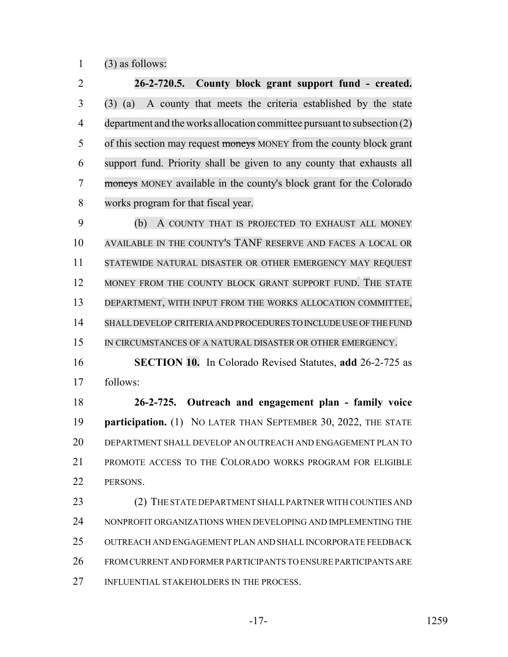(3) as follows:

 **26-2-720.5. County block grant support fund - created.** (3) (a) A county that meets the criteria established by the state 4 department and the works allocation committee pursuant to subsection (2) 5 of this section may request moneys MONEY from the county block grant support fund. Priority shall be given to any county that exhausts all moneys MONEY available in the county's block grant for the Colorado works program for that fiscal year.

 (b) A COUNTY THAT IS PROJECTED TO EXHAUST ALL MONEY AVAILABLE IN THE COUNTY'S TANF RESERVE AND FACES A LOCAL OR STATEWIDE NATURAL DISASTER OR OTHER EMERGENCY MAY REQUEST 12 MONEY FROM THE COUNTY BLOCK GRANT SUPPORT FUND. THE STATE DEPARTMENT, WITH INPUT FROM THE WORKS ALLOCATION COMMITTEE, SHALLDEVELOP CRITERIA AND PROCEDURES TO INCLUDE USE OF THE FUND 15 IN CIRCUMSTANCES OF A NATURAL DISASTER OR OTHER EMERGENCY.

 **SECTION 10.** In Colorado Revised Statutes, **add** 26-2-725 as follows:

 **26-2-725. Outreach and engagement plan - family voice participation.** (1) NO LATER THAN SEPTEMBER 30, 2022, THE STATE DEPARTMENT SHALL DEVELOP AN OUTREACH AND ENGAGEMENT PLAN TO PROMOTE ACCESS TO THE COLORADO WORKS PROGRAM FOR ELIGIBLE 22 PERSONS.

23 (2) THE STATE DEPARTMENT SHALL PARTNER WITH COUNTIES AND NONPROFIT ORGANIZATIONS WHEN DEVELOPING AND IMPLEMENTING THE OUTREACH AND ENGAGEMENT PLAN AND SHALL INCORPORATE FEEDBACK FROM CURRENT AND FORMER PARTICIPANTS TO ENSURE PARTICIPANTS ARE 27 INFLUENTIAL STAKEHOLDERS IN THE PROCESS.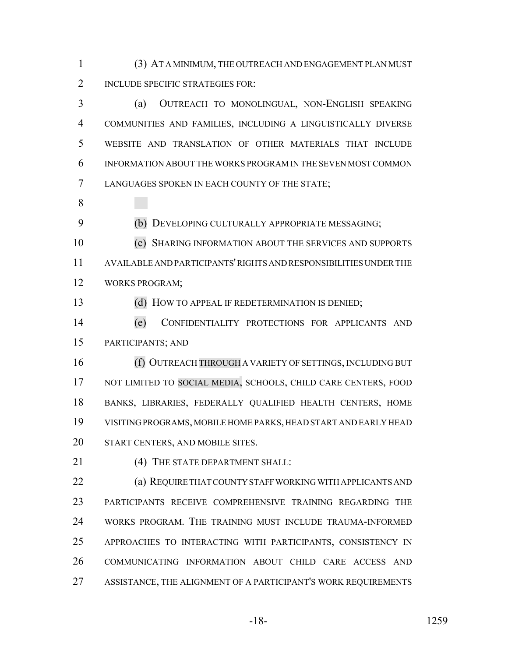(3) AT A MINIMUM, THE OUTREACH AND ENGAGEMENT PLAN MUST 2 INCLUDE SPECIFIC STRATEGIES FOR:

 (a) OUTREACH TO MONOLINGUAL, NON-ENGLISH SPEAKING COMMUNITIES AND FAMILIES, INCLUDING A LINGUISTICALLY DIVERSE WEBSITE AND TRANSLATION OF OTHER MATERIALS THAT INCLUDE INFORMATION ABOUT THE WORKS PROGRAM IN THE SEVEN MOST COMMON LANGUAGES SPOKEN IN EACH COUNTY OF THE STATE;

(b) DEVELOPING CULTURALLY APPROPRIATE MESSAGING;

 (c) SHARING INFORMATION ABOUT THE SERVICES AND SUPPORTS AVAILABLE AND PARTICIPANTS' RIGHTS AND RESPONSIBILITIES UNDER THE WORKS PROGRAM;

13 (d) HOW TO APPEAL IF REDETERMINATION IS DENIED;

 (e) CONFIDENTIALITY PROTECTIONS FOR APPLICANTS AND PARTICIPANTS; AND

16 (f) OUTREACH THROUGH A VARIETY OF SETTINGS, INCLUDING BUT NOT LIMITED TO SOCIAL MEDIA, SCHOOLS, CHILD CARE CENTERS, FOOD BANKS, LIBRARIES, FEDERALLY QUALIFIED HEALTH CENTERS, HOME VISITING PROGRAMS, MOBILE HOME PARKS, HEAD START AND EARLY HEAD START CENTERS, AND MOBILE SITES.

21 (4) THE STATE DEPARTMENT SHALL:

 (a) REQUIRE THAT COUNTY STAFF WORKING WITH APPLICANTS AND PARTICIPANTS RECEIVE COMPREHENSIVE TRAINING REGARDING THE WORKS PROGRAM. THE TRAINING MUST INCLUDE TRAUMA-INFORMED APPROACHES TO INTERACTING WITH PARTICIPANTS, CONSISTENCY IN COMMUNICATING INFORMATION ABOUT CHILD CARE ACCESS AND ASSISTANCE, THE ALIGNMENT OF A PARTICIPANT'S WORK REQUIREMENTS

-18- 1259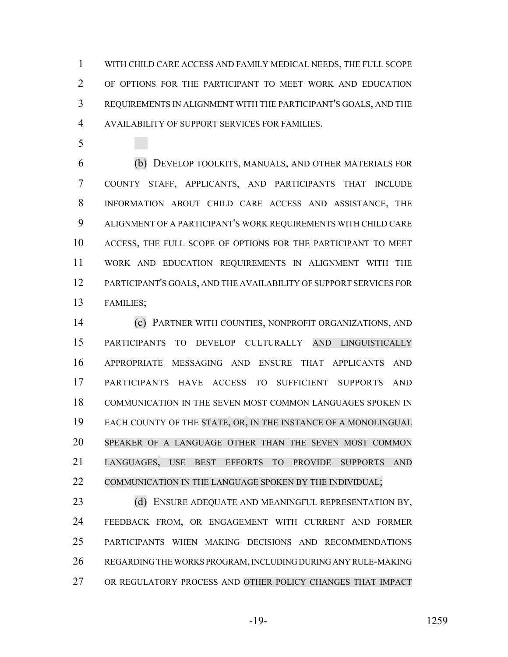WITH CHILD CARE ACCESS AND FAMILY MEDICAL NEEDS, THE FULL SCOPE OF OPTIONS FOR THE PARTICIPANT TO MEET WORK AND EDUCATION REQUIREMENTS IN ALIGNMENT WITH THE PARTICIPANT'S GOALS, AND THE AVAILABILITY OF SUPPORT SERVICES FOR FAMILIES.

 (b) DEVELOP TOOLKITS, MANUALS, AND OTHER MATERIALS FOR COUNTY STAFF, APPLICANTS, AND PARTICIPANTS THAT INCLUDE INFORMATION ABOUT CHILD CARE ACCESS AND ASSISTANCE, THE ALIGNMENT OF A PARTICIPANT'S WORK REQUIREMENTS WITH CHILD CARE ACCESS, THE FULL SCOPE OF OPTIONS FOR THE PARTICIPANT TO MEET WORK AND EDUCATION REQUIREMENTS IN ALIGNMENT WITH THE PARTICIPANT'S GOALS, AND THE AVAILABILITY OF SUPPORT SERVICES FOR FAMILIES;

 (c) PARTNER WITH COUNTIES, NONPROFIT ORGANIZATIONS, AND PARTICIPANTS TO DEVELOP CULTURALLY AND LINGUISTICALLY APPROPRIATE MESSAGING AND ENSURE THAT APPLICANTS AND PARTICIPANTS HAVE ACCESS TO SUFFICIENT SUPPORTS AND COMMUNICATION IN THE SEVEN MOST COMMON LANGUAGES SPOKEN IN EACH COUNTY OF THE STATE, OR, IN THE INSTANCE OF A MONOLINGUAL SPEAKER OF A LANGUAGE OTHER THAN THE SEVEN MOST COMMON LANGUAGES, USE BEST EFFORTS TO PROVIDE SUPPORTS AND 22 COMMUNICATION IN THE LANGUAGE SPOKEN BY THE INDIVIDUAL;

23 (d) ENSURE ADEQUATE AND MEANINGFUL REPRESENTATION BY, FEEDBACK FROM, OR ENGAGEMENT WITH CURRENT AND FORMER PARTICIPANTS WHEN MAKING DECISIONS AND RECOMMENDATIONS REGARDING THE WORKS PROGRAM, INCLUDING DURING ANY RULE-MAKING OR REGULATORY PROCESS AND OTHER POLICY CHANGES THAT IMPACT

-19- 1259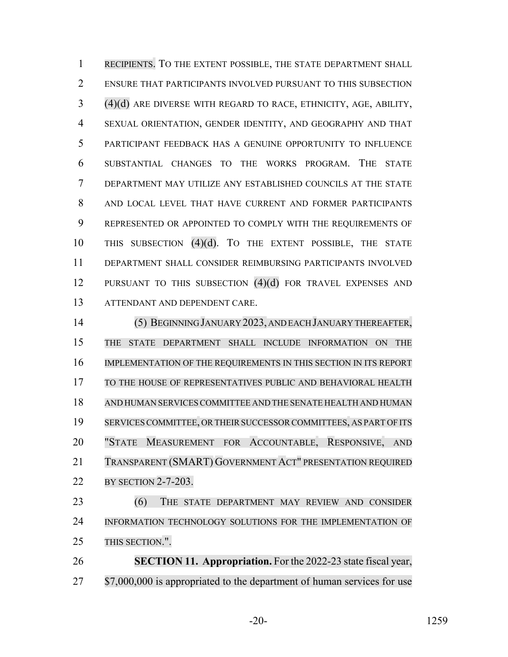RECIPIENTS. TO THE EXTENT POSSIBLE, THE STATE DEPARTMENT SHALL ENSURE THAT PARTICIPANTS INVOLVED PURSUANT TO THIS SUBSECTION (4)(d) ARE DIVERSE WITH REGARD TO RACE, ETHNICITY, AGE, ABILITY, SEXUAL ORIENTATION, GENDER IDENTITY, AND GEOGRAPHY AND THAT PARTICIPANT FEEDBACK HAS A GENUINE OPPORTUNITY TO INFLUENCE SUBSTANTIAL CHANGES TO THE WORKS PROGRAM. THE STATE DEPARTMENT MAY UTILIZE ANY ESTABLISHED COUNCILS AT THE STATE AND LOCAL LEVEL THAT HAVE CURRENT AND FORMER PARTICIPANTS REPRESENTED OR APPOINTED TO COMPLY WITH THE REQUIREMENTS OF THIS SUBSECTION (4)(d). TO THE EXTENT POSSIBLE, THE STATE DEPARTMENT SHALL CONSIDER REIMBURSING PARTICIPANTS INVOLVED 12 PURSUANT TO THIS SUBSECTION (4)(d) FOR TRAVEL EXPENSES AND ATTENDANT AND DEPENDENT CARE.

 (5) BEGINNING JANUARY 2023, AND EACH JANUARY THEREAFTER, THE STATE DEPARTMENT SHALL INCLUDE INFORMATION ON THE IMPLEMENTATION OF THE REQUIREMENTS IN THIS SECTION IN ITS REPORT TO THE HOUSE OF REPRESENTATIVES PUBLIC AND BEHAVIORAL HEALTH AND HUMAN SERVICESCOMMITTEE AND THE SENATE HEALTH AND HUMAN 19 SERVICES COMMITTEE, OR THEIR SUCCESSOR COMMITTEES, AS PART OF ITS "STATE MEASUREMENT FOR ACCOUNTABLE, RESPONSIVE, AND TRANSPARENT (SMART) GOVERNMENT ACT" PRESENTATION REQUIRED BY SECTION 2-7-203. (6) THE STATE DEPARTMENT MAY REVIEW AND CONSIDER

 INFORMATION TECHNOLOGY SOLUTIONS FOR THE IMPLEMENTATION OF THIS SECTION.".

 **SECTION 11. Appropriation.** For the 2022-23 state fiscal year, 27 \$7,000,000 is appropriated to the department of human services for use